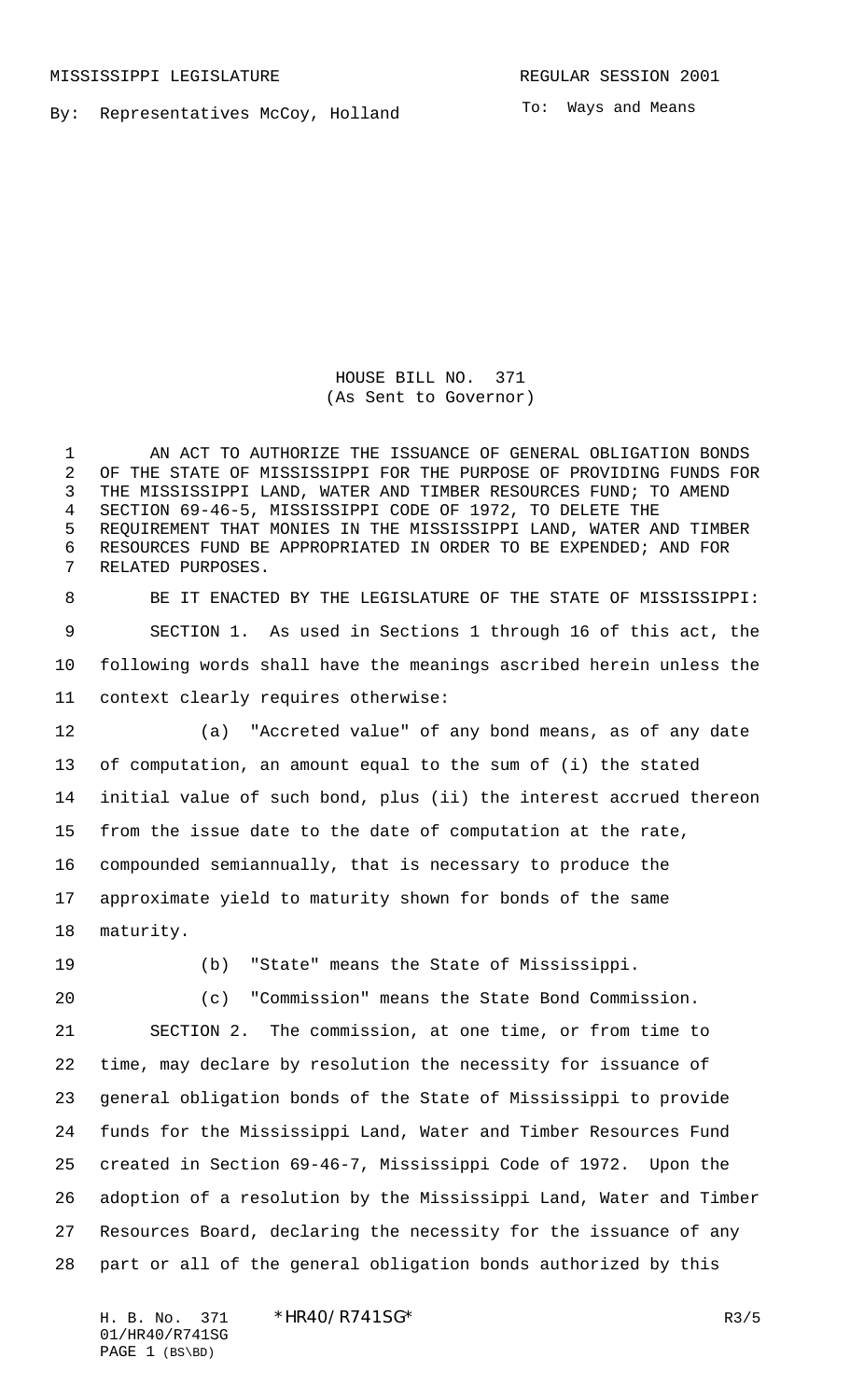By: Representatives McCoy, Holland

To: Ways and Means

HOUSE BILL NO. 371 (As Sent to Governor)

1 AN ACT TO AUTHORIZE THE ISSUANCE OF GENERAL OBLIGATION BONDS OF THE STATE OF MISSISSIPPI FOR THE PURPOSE OF PROVIDING FUNDS FOR THE MISSISSIPPI LAND, WATER AND TIMBER RESOURCES FUND; TO AMEND SECTION 69-46-5, MISSISSIPPI CODE OF 1972, TO DELETE THE REQUIREMENT THAT MONIES IN THE MISSISSIPPI LAND, WATER AND TIMBER RESOURCES FUND BE APPROPRIATED IN ORDER TO BE EXPENDED; AND FOR RELATED PURPOSES.

 BE IT ENACTED BY THE LEGISLATURE OF THE STATE OF MISSISSIPPI: SECTION 1. As used in Sections 1 through 16 of this act, the following words shall have the meanings ascribed herein unless the context clearly requires otherwise:

 (a) "Accreted value" of any bond means, as of any date of computation, an amount equal to the sum of (i) the stated initial value of such bond, plus (ii) the interest accrued thereon from the issue date to the date of computation at the rate, compounded semiannually, that is necessary to produce the approximate yield to maturity shown for bonds of the same maturity.

(b) "State" means the State of Mississippi.

 (c) "Commission" means the State Bond Commission. SECTION 2. The commission, at one time, or from time to time, may declare by resolution the necessity for issuance of general obligation bonds of the State of Mississippi to provide funds for the Mississippi Land, Water and Timber Resources Fund created in Section 69-46-7, Mississippi Code of 1972. Upon the adoption of a resolution by the Mississippi Land, Water and Timber Resources Board, declaring the necessity for the issuance of any part or all of the general obligation bonds authorized by this

H. B. No. 371 \* HR40/R741SG\* R3/5 01/HR40/R741SG PAGE 1 (BS\BD)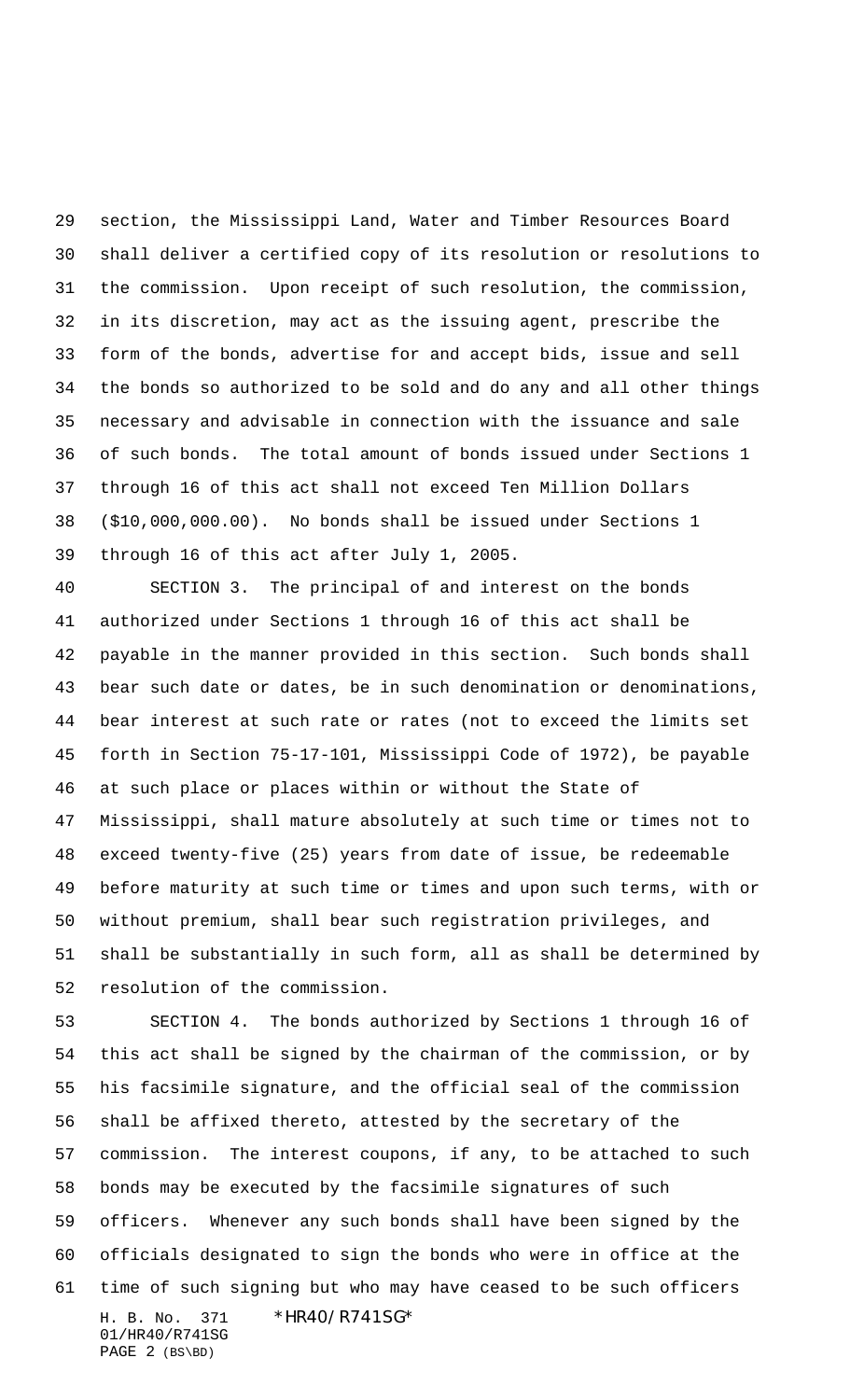section, the Mississippi Land, Water and Timber Resources Board shall deliver a certified copy of its resolution or resolutions to the commission. Upon receipt of such resolution, the commission, in its discretion, may act as the issuing agent, prescribe the form of the bonds, advertise for and accept bids, issue and sell the bonds so authorized to be sold and do any and all other things necessary and advisable in connection with the issuance and sale of such bonds. The total amount of bonds issued under Sections 1 through 16 of this act shall not exceed Ten Million Dollars (\$10,000,000.00). No bonds shall be issued under Sections 1 through 16 of this act after July 1, 2005.

 SECTION 3. The principal of and interest on the bonds authorized under Sections 1 through 16 of this act shall be payable in the manner provided in this section. Such bonds shall bear such date or dates, be in such denomination or denominations, bear interest at such rate or rates (not to exceed the limits set forth in Section 75-17-101, Mississippi Code of 1972), be payable at such place or places within or without the State of Mississippi, shall mature absolutely at such time or times not to exceed twenty-five (25) years from date of issue, be redeemable before maturity at such time or times and upon such terms, with or without premium, shall bear such registration privileges, and shall be substantially in such form, all as shall be determined by resolution of the commission.

H. B. No. 371 \*HR40/R741SG\* 01/HR40/R741SG PAGE 2 (BS\BD) SECTION 4. The bonds authorized by Sections 1 through 16 of this act shall be signed by the chairman of the commission, or by his facsimile signature, and the official seal of the commission shall be affixed thereto, attested by the secretary of the commission. The interest coupons, if any, to be attached to such bonds may be executed by the facsimile signatures of such officers. Whenever any such bonds shall have been signed by the officials designated to sign the bonds who were in office at the time of such signing but who may have ceased to be such officers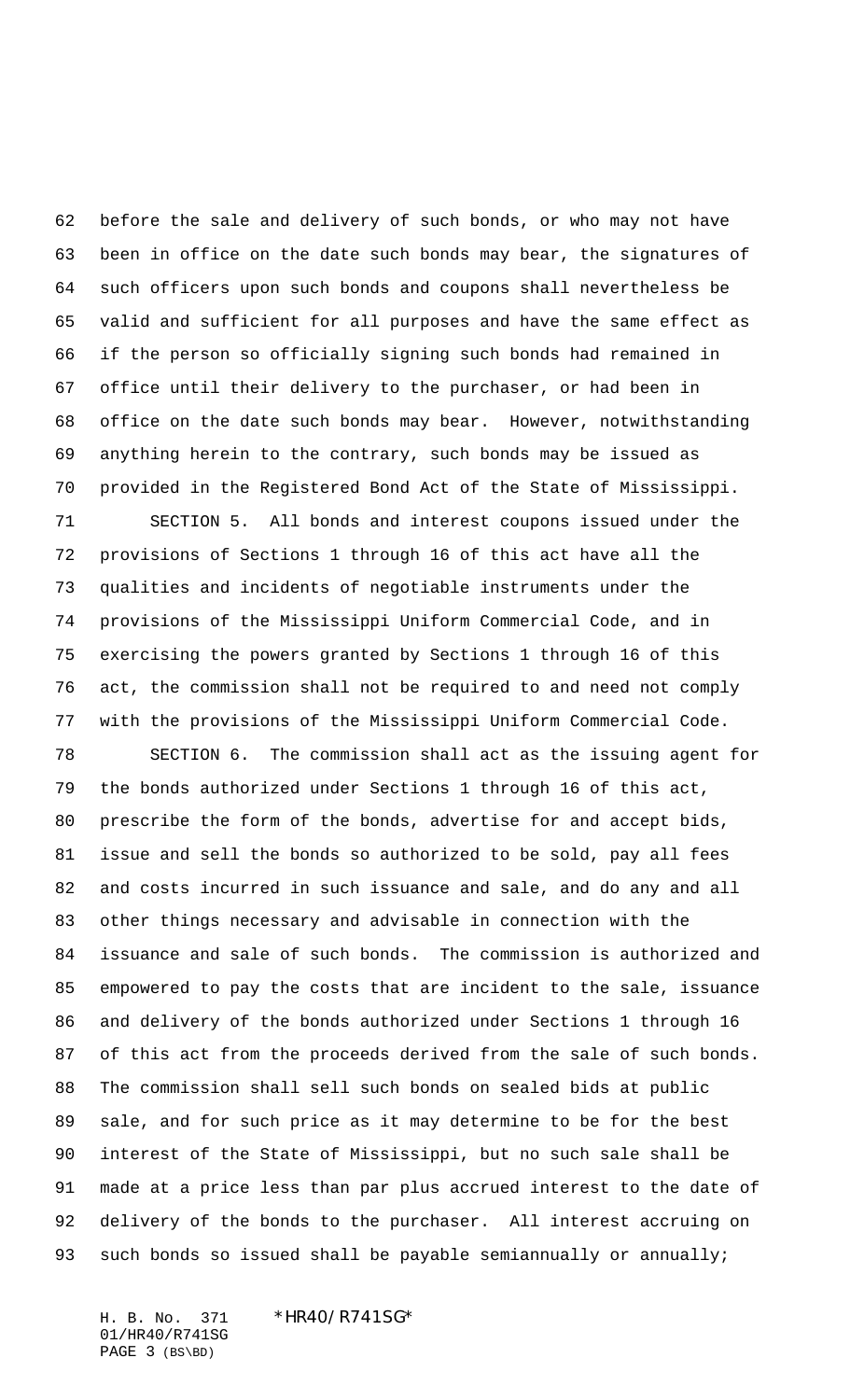before the sale and delivery of such bonds, or who may not have been in office on the date such bonds may bear, the signatures of such officers upon such bonds and coupons shall nevertheless be valid and sufficient for all purposes and have the same effect as if the person so officially signing such bonds had remained in office until their delivery to the purchaser, or had been in office on the date such bonds may bear. However, notwithstanding anything herein to the contrary, such bonds may be issued as provided in the Registered Bond Act of the State of Mississippi.

 SECTION 5. All bonds and interest coupons issued under the provisions of Sections 1 through 16 of this act have all the qualities and incidents of negotiable instruments under the provisions of the Mississippi Uniform Commercial Code, and in exercising the powers granted by Sections 1 through 16 of this act, the commission shall not be required to and need not comply with the provisions of the Mississippi Uniform Commercial Code.

 SECTION 6. The commission shall act as the issuing agent for the bonds authorized under Sections 1 through 16 of this act, prescribe the form of the bonds, advertise for and accept bids, issue and sell the bonds so authorized to be sold, pay all fees and costs incurred in such issuance and sale, and do any and all other things necessary and advisable in connection with the issuance and sale of such bonds. The commission is authorized and empowered to pay the costs that are incident to the sale, issuance and delivery of the bonds authorized under Sections 1 through 16 of this act from the proceeds derived from the sale of such bonds. The commission shall sell such bonds on sealed bids at public sale, and for such price as it may determine to be for the best interest of the State of Mississippi, but no such sale shall be made at a price less than par plus accrued interest to the date of delivery of the bonds to the purchaser. All interest accruing on 93 such bonds so issued shall be payable semiannually or annually;

H. B. No. 371 \*HR40/R741SG\* 01/HR40/R741SG PAGE 3 (BS\BD)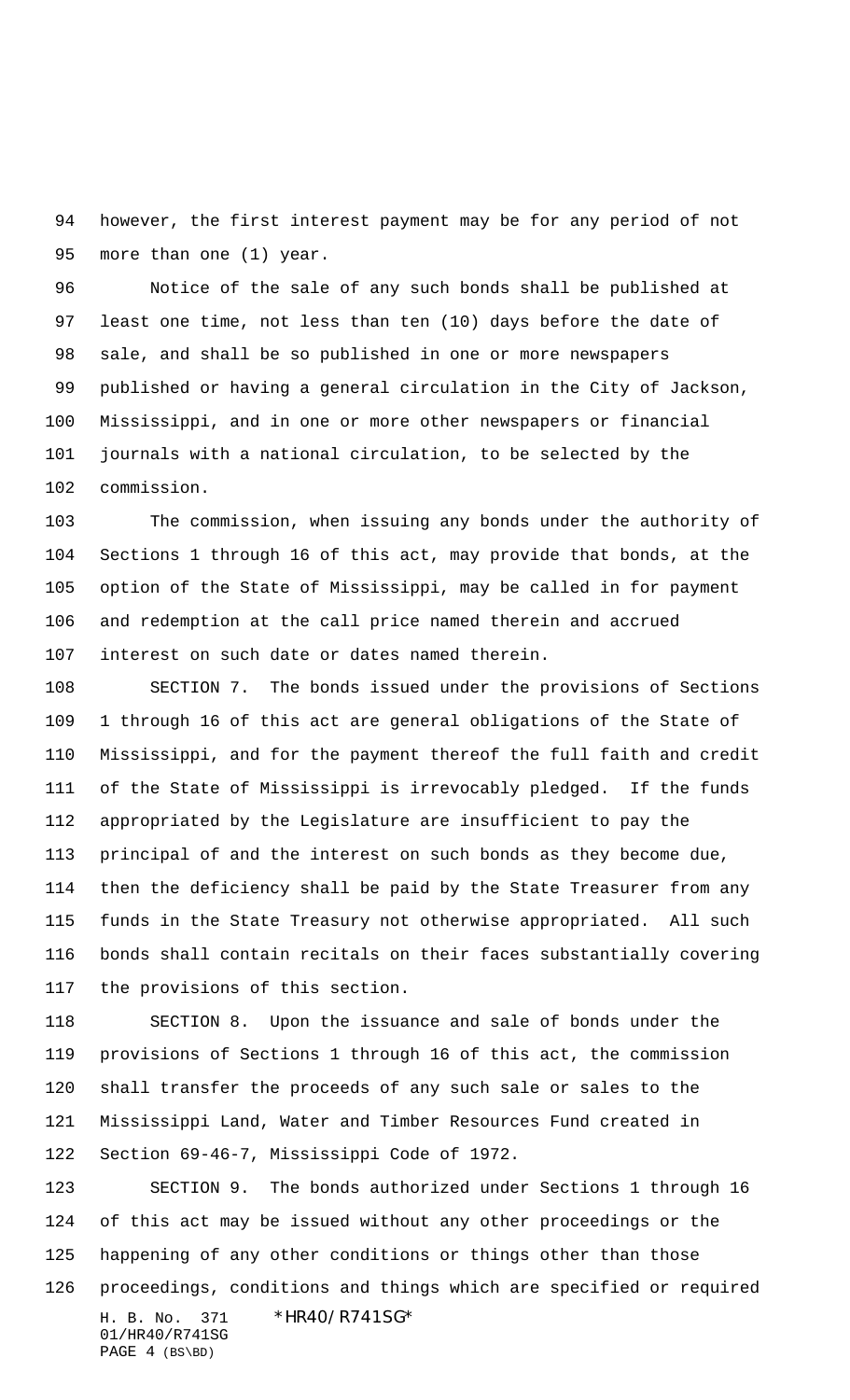however, the first interest payment may be for any period of not more than one (1) year.

 Notice of the sale of any such bonds shall be published at least one time, not less than ten (10) days before the date of sale, and shall be so published in one or more newspapers published or having a general circulation in the City of Jackson, Mississippi, and in one or more other newspapers or financial journals with a national circulation, to be selected by the commission.

 The commission, when issuing any bonds under the authority of Sections 1 through 16 of this act, may provide that bonds, at the option of the State of Mississippi, may be called in for payment and redemption at the call price named therein and accrued interest on such date or dates named therein.

 SECTION 7. The bonds issued under the provisions of Sections 1 through 16 of this act are general obligations of the State of Mississippi, and for the payment thereof the full faith and credit of the State of Mississippi is irrevocably pledged. If the funds appropriated by the Legislature are insufficient to pay the principal of and the interest on such bonds as they become due, then the deficiency shall be paid by the State Treasurer from any funds in the State Treasury not otherwise appropriated. All such bonds shall contain recitals on their faces substantially covering the provisions of this section.

 SECTION 8. Upon the issuance and sale of bonds under the provisions of Sections 1 through 16 of this act, the commission shall transfer the proceeds of any such sale or sales to the Mississippi Land, Water and Timber Resources Fund created in Section 69-46-7, Mississippi Code of 1972.

H. B. No. 371 \*HR40/R741SG\* 01/HR40/R741SG SECTION 9. The bonds authorized under Sections 1 through 16 of this act may be issued without any other proceedings or the happening of any other conditions or things other than those proceedings, conditions and things which are specified or required

```
PAGE 4 (BS\BD)
```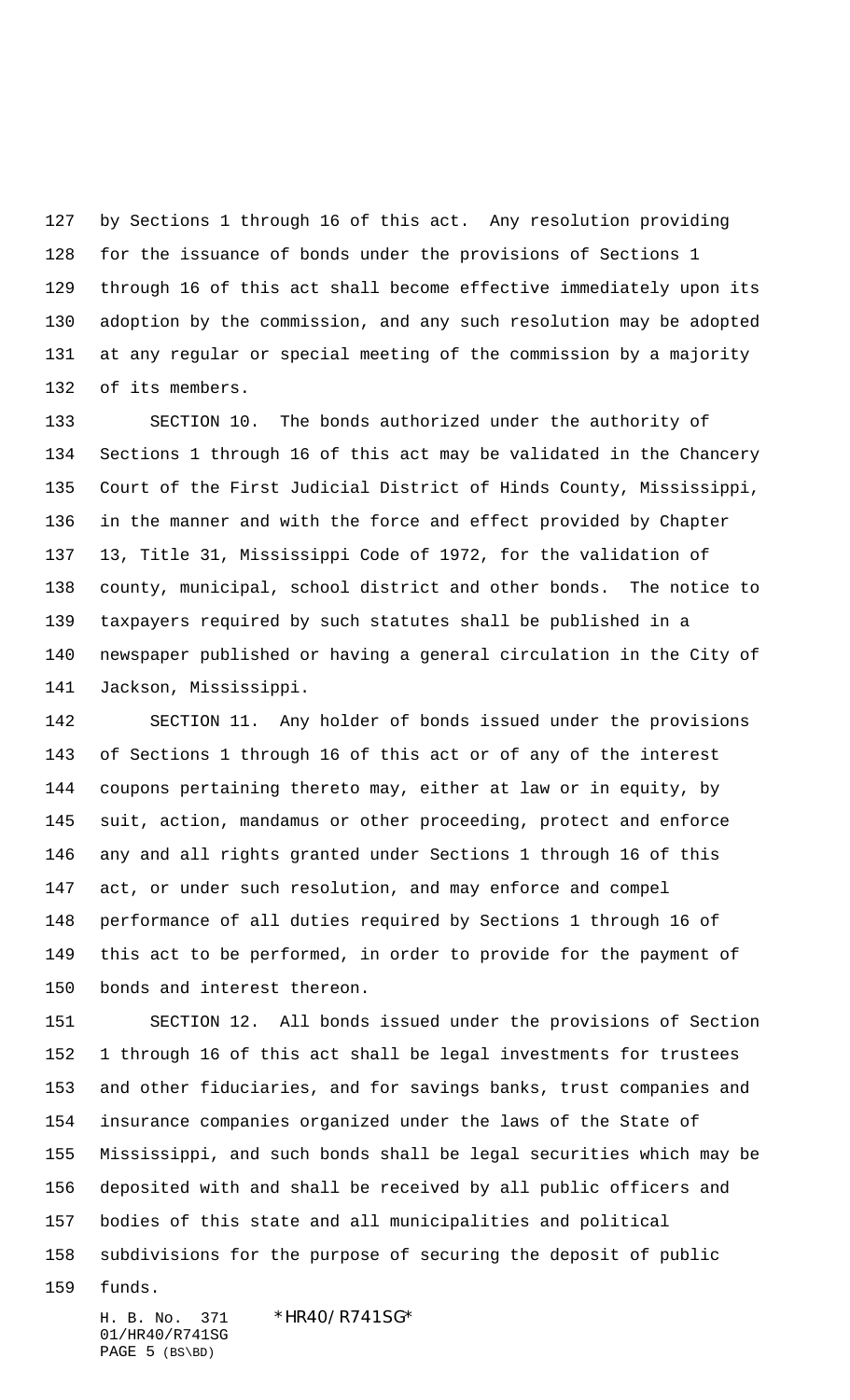by Sections 1 through 16 of this act. Any resolution providing for the issuance of bonds under the provisions of Sections 1 through 16 of this act shall become effective immediately upon its adoption by the commission, and any such resolution may be adopted at any regular or special meeting of the commission by a majority of its members.

 SECTION 10. The bonds authorized under the authority of Sections 1 through 16 of this act may be validated in the Chancery Court of the First Judicial District of Hinds County, Mississippi, in the manner and with the force and effect provided by Chapter 13, Title 31, Mississippi Code of 1972, for the validation of county, municipal, school district and other bonds. The notice to taxpayers required by such statutes shall be published in a newspaper published or having a general circulation in the City of Jackson, Mississippi.

 SECTION 11. Any holder of bonds issued under the provisions of Sections 1 through 16 of this act or of any of the interest coupons pertaining thereto may, either at law or in equity, by suit, action, mandamus or other proceeding, protect and enforce any and all rights granted under Sections 1 through 16 of this act, or under such resolution, and may enforce and compel performance of all duties required by Sections 1 through 16 of this act to be performed, in order to provide for the payment of bonds and interest thereon.

 SECTION 12. All bonds issued under the provisions of Section 1 through 16 of this act shall be legal investments for trustees and other fiduciaries, and for savings banks, trust companies and insurance companies organized under the laws of the State of Mississippi, and such bonds shall be legal securities which may be deposited with and shall be received by all public officers and bodies of this state and all municipalities and political subdivisions for the purpose of securing the deposit of public funds.

H. B. No. 371 \*HR40/R741SG\* 01/HR40/R741SG PAGE 5 (BS\BD)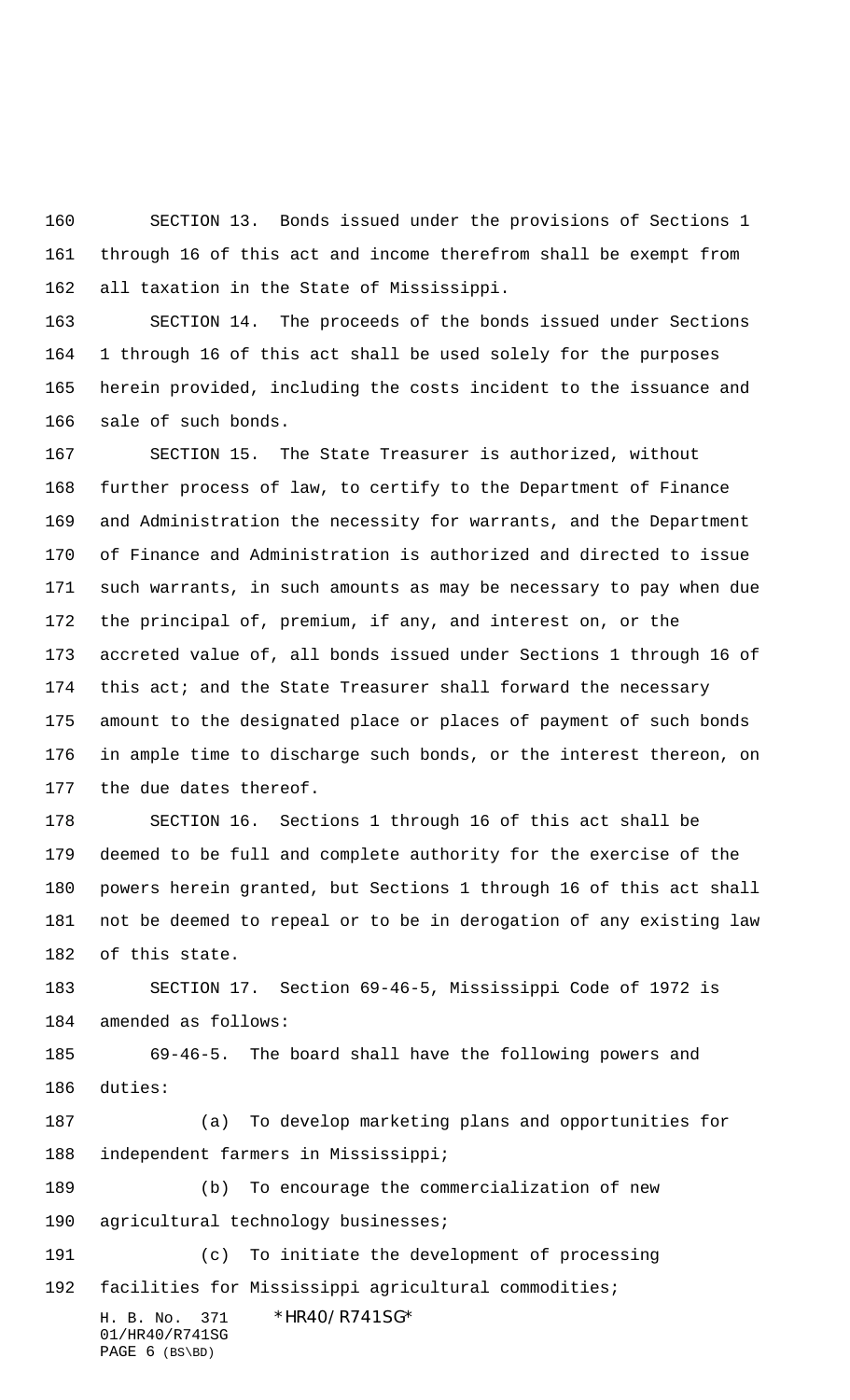SECTION 13. Bonds issued under the provisions of Sections 1 through 16 of this act and income therefrom shall be exempt from all taxation in the State of Mississippi.

 SECTION 14. The proceeds of the bonds issued under Sections 1 through 16 of this act shall be used solely for the purposes herein provided, including the costs incident to the issuance and sale of such bonds.

 SECTION 15. The State Treasurer is authorized, without further process of law, to certify to the Department of Finance and Administration the necessity for warrants, and the Department of Finance and Administration is authorized and directed to issue such warrants, in such amounts as may be necessary to pay when due the principal of, premium, if any, and interest on, or the accreted value of, all bonds issued under Sections 1 through 16 of 174 this act; and the State Treasurer shall forward the necessary amount to the designated place or places of payment of such bonds in ample time to discharge such bonds, or the interest thereon, on the due dates thereof.

 SECTION 16. Sections 1 through 16 of this act shall be deemed to be full and complete authority for the exercise of the powers herein granted, but Sections 1 through 16 of this act shall not be deemed to repeal or to be in derogation of any existing law of this state.

 SECTION 17. Section 69-46-5, Mississippi Code of 1972 is amended as follows:

 69-46-5. The board shall have the following powers and duties:

 (a) To develop marketing plans and opportunities for independent farmers in Mississippi;

 (b) To encourage the commercialization of new 190 agricultural technology businesses;

 (c) To initiate the development of processing facilities for Mississippi agricultural commodities;

H. B. No. 371 \*HR40/R741SG\* 01/HR40/R741SG PAGE (BS\BD)